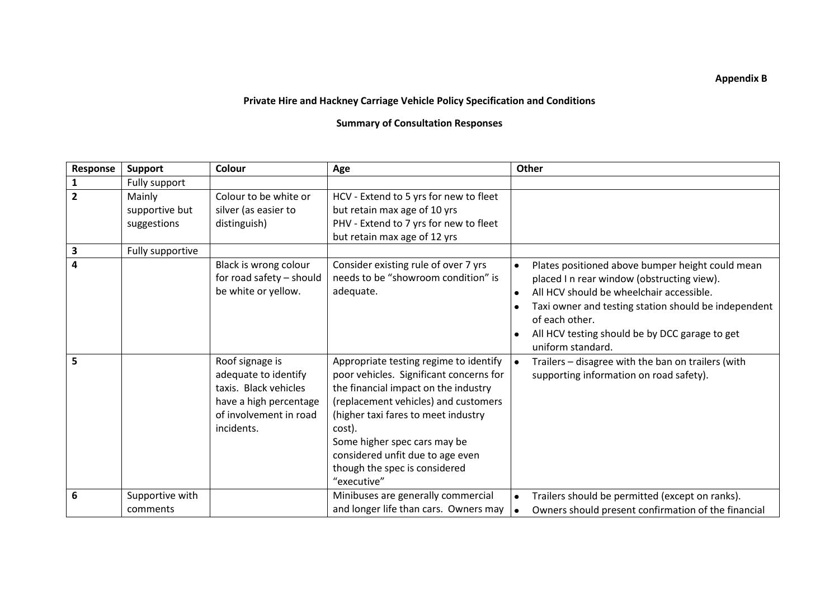## **Appendix B**

## **Private Hire and Hackney Carriage Vehicle Policy Specification and Conditions**

## **Summary of Consultation Responses**

| Response                | <b>Support</b>                          | Colour                                                                                                                             | Age                                                                                                                                                                                                                                                                                                                                    | Other                                                                                                                                                                                                                                                                                       |
|-------------------------|-----------------------------------------|------------------------------------------------------------------------------------------------------------------------------------|----------------------------------------------------------------------------------------------------------------------------------------------------------------------------------------------------------------------------------------------------------------------------------------------------------------------------------------|---------------------------------------------------------------------------------------------------------------------------------------------------------------------------------------------------------------------------------------------------------------------------------------------|
| $\mathbf{1}$            | Fully support                           |                                                                                                                                    |                                                                                                                                                                                                                                                                                                                                        |                                                                                                                                                                                                                                                                                             |
| $\overline{2}$          | Mainly<br>supportive but<br>suggestions | Colour to be white or<br>silver (as easier to<br>distinguish)                                                                      | HCV - Extend to 5 yrs for new to fleet<br>but retain max age of 10 yrs<br>PHV - Extend to 7 yrs for new to fleet<br>but retain max age of 12 yrs                                                                                                                                                                                       |                                                                                                                                                                                                                                                                                             |
| $\mathbf 3$             | Fully supportive                        |                                                                                                                                    |                                                                                                                                                                                                                                                                                                                                        |                                                                                                                                                                                                                                                                                             |
| $\overline{\mathbf{4}}$ |                                         | Black is wrong colour<br>for road safety - should<br>be white or yellow.                                                           | Consider existing rule of over 7 yrs<br>needs to be "showroom condition" is<br>adequate.                                                                                                                                                                                                                                               | Plates positioned above bumper height could mean<br>placed I n rear window (obstructing view).<br>All HCV should be wheelchair accessible.<br>Taxi owner and testing station should be independent<br>of each other.<br>All HCV testing should be by DCC garage to get<br>uniform standard. |
| 5                       |                                         | Roof signage is<br>adequate to identify<br>taxis. Black vehicles<br>have a high percentage<br>of involvement in road<br>incidents. | Appropriate testing regime to identify<br>poor vehicles. Significant concerns for<br>the financial impact on the industry<br>(replacement vehicles) and customers<br>(higher taxi fares to meet industry<br>cost).<br>Some higher spec cars may be<br>considered unfit due to age even<br>though the spec is considered<br>"executive" | Trailers - disagree with the ban on trailers (with<br>supporting information on road safety).                                                                                                                                                                                               |
| 6                       | Supportive with<br>comments             |                                                                                                                                    | Minibuses are generally commercial<br>and longer life than cars. Owners may                                                                                                                                                                                                                                                            | Trailers should be permitted (except on ranks).<br>Owners should present confirmation of the financial                                                                                                                                                                                      |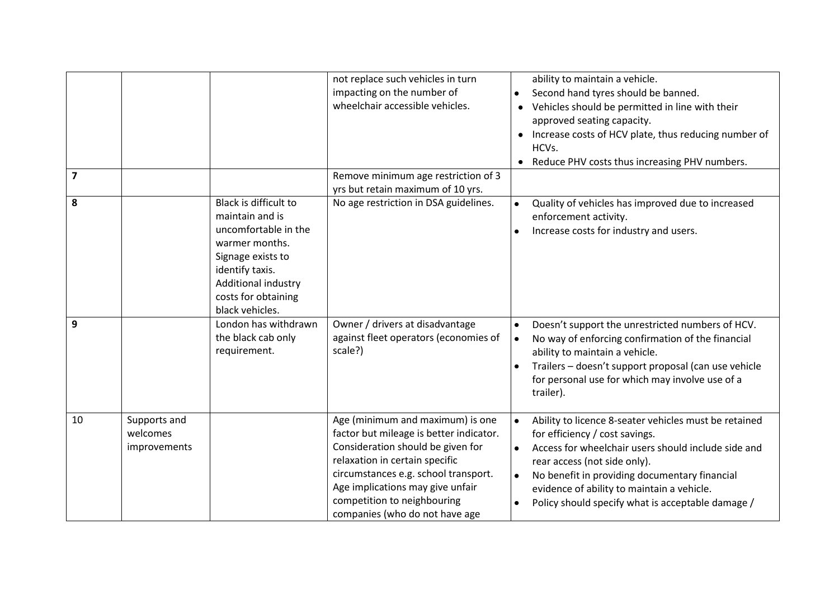|    |                                          |                                                                                                                                                                                             | not replace such vehicles in turn<br>impacting on the number of<br>wheelchair accessible vehicles.                                                                                                                                                                                              | ability to maintain a vehicle.<br>Second hand tyres should be banned.<br>Vehicles should be permitted in line with their<br>approved seating capacity.<br>Increase costs of HCV plate, thus reducing number of<br>HCVs.<br>Reduce PHV costs thus increasing PHV numbers.<br>٠                                                                                |
|----|------------------------------------------|---------------------------------------------------------------------------------------------------------------------------------------------------------------------------------------------|-------------------------------------------------------------------------------------------------------------------------------------------------------------------------------------------------------------------------------------------------------------------------------------------------|--------------------------------------------------------------------------------------------------------------------------------------------------------------------------------------------------------------------------------------------------------------------------------------------------------------------------------------------------------------|
| 7  |                                          |                                                                                                                                                                                             | Remove minimum age restriction of 3<br>yrs but retain maximum of 10 yrs.                                                                                                                                                                                                                        |                                                                                                                                                                                                                                                                                                                                                              |
| 8  |                                          | Black is difficult to<br>maintain and is<br>uncomfortable in the<br>warmer months.<br>Signage exists to<br>identify taxis.<br>Additional industry<br>costs for obtaining<br>black vehicles. | No age restriction in DSA guidelines.                                                                                                                                                                                                                                                           | Quality of vehicles has improved due to increased<br>$\bullet$<br>enforcement activity.<br>Increase costs for industry and users.                                                                                                                                                                                                                            |
| 9  |                                          | London has withdrawn<br>the black cab only<br>requirement.                                                                                                                                  | Owner / drivers at disadvantage<br>against fleet operators (economies of<br>scale?)                                                                                                                                                                                                             | Doesn't support the unrestricted numbers of HCV.<br>$\bullet$<br>No way of enforcing confirmation of the financial<br>$\bullet$<br>ability to maintain a vehicle.<br>Trailers - doesn't support proposal (can use vehicle<br>for personal use for which may involve use of a<br>trailer).                                                                    |
| 10 | Supports and<br>welcomes<br>improvements |                                                                                                                                                                                             | Age (minimum and maximum) is one<br>factor but mileage is better indicator.<br>Consideration should be given for<br>relaxation in certain specific<br>circumstances e.g. school transport.<br>Age implications may give unfair<br>competition to neighbouring<br>companies (who do not have age | Ability to licence 8-seater vehicles must be retained<br>for efficiency / cost savings.<br>Access for wheelchair users should include side and<br>$\bullet$<br>rear access (not side only).<br>No benefit in providing documentary financial<br>$\bullet$<br>evidence of ability to maintain a vehicle.<br>Policy should specify what is acceptable damage / |